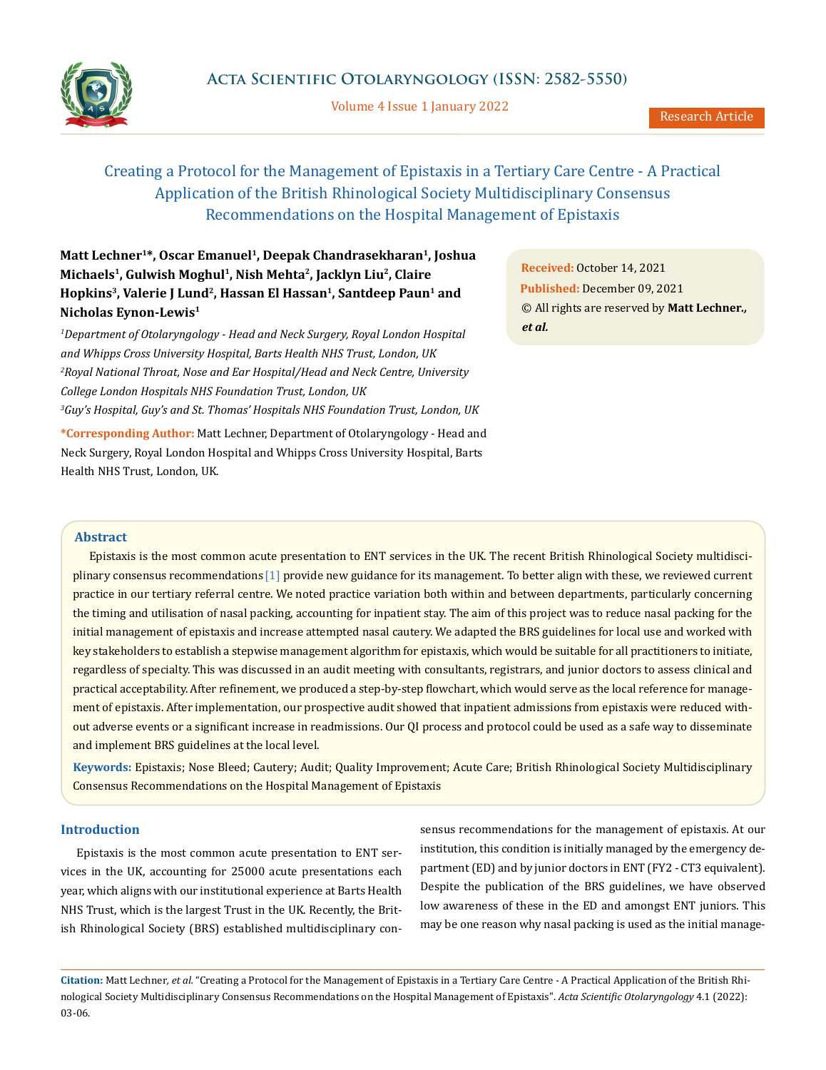

Volume 4 Issue 1 January 2022

# Creating a Protocol for the Management of Epistaxis in a Tertiary Care Centre - A Practical Application of the British Rhinological Society Multidisciplinary Consensus Recommendations on the Hospital Management of Epistaxis

## **Matt Lechner1\*, Oscar Emanuel1, Deepak Chandrasekharan1, Joshua Michaels1, Gulwish Moghul1, Nish Mehta2, Jacklyn Liu2, Claire** Hopkins<sup>3</sup>, Valerie J Lund<sup>2</sup>, Hassan El Hassan<sup>1</sup>, Santdeep Paun<sup>1</sup> and **Nicholas Eynon-Lewis1**

*1 Department of Otolaryngology - Head and Neck Surgery, Royal London Hospital and Whipps Cross University Hospital, Barts Health NHS Trust, London, UK 2 Royal National Throat, Nose and Ear Hospital/Head and Neck Centre, University College London Hospitals NHS Foundation Trust, London, UK 3 Guy's Hospital, Guy's and St. Thomas' Hospitals NHS Foundation Trust, London, UK*

**\*Corresponding Author:** Matt Lechner, Department of Otolaryngology - Head and Neck Surgery, Royal London Hospital and Whipps Cross University Hospital, Barts Health NHS Trust, London, UK.

**Received:** October 14, 2021 **Published:** December 09, 2021 © All rights are reserved by **Matt Lechner***., et al.*

## **Abstract**

Epistaxis is the most common acute presentation to ENT services in the UK. The recent British Rhinological Society multidisciplinary consensus recommendations [1] provide new guidance for its management. To better align with these, we reviewed current practice in our tertiary referral centre. We noted practice variation both within and between departments, particularly concerning the timing and utilisation of nasal packing, accounting for inpatient stay. The aim of this project was to reduce nasal packing for the initial management of epistaxis and increase attempted nasal cautery. We adapted the BRS guidelines for local use and worked with key stakeholders to establish a stepwise management algorithm for epistaxis, which would be suitable for all practitioners to initiate, regardless of specialty. This was discussed in an audit meeting with consultants, registrars, and junior doctors to assess clinical and practical acceptability. After refinement, we produced a step-by-step flowchart, which would serve as the local reference for management of epistaxis. After implementation, our prospective audit showed that inpatient admissions from epistaxis were reduced without adverse events or a significant increase in readmissions. Our QI process and protocol could be used as a safe way to disseminate and implement BRS guidelines at the local level.

**Keywords:** Epistaxis; Nose Bleed; Cautery; Audit; Quality Improvement; Acute Care; British Rhinological Society Multidisciplinary Consensus Recommendations on the Hospital Management of Epistaxis

## **Introduction**

Epistaxis is the most common acute presentation to ENT services in the UK, accounting for 25000 acute presentations each year, which aligns with our institutional experience at Barts Health NHS Trust, which is the largest Trust in the UK. Recently, the British Rhinological Society (BRS) established multidisciplinary consensus recommendations for the management of epistaxis. At our institution, this condition is initially managed by the emergency department (ED) and by junior doctors in ENT (FY2 - CT3 equivalent). Despite the publication of the BRS guidelines, we have observed low awareness of these in the ED and amongst ENT juniors. This may be one reason why nasal packing is used as the initial manage-

**Citation:** Matt Lechner*, et al.* "Creating a Protocol for the Management of Epistaxis in a Tertiary Care Centre - A Practical Application of the British Rhinological Society Multidisciplinary Consensus Recommendations on the Hospital Management of Epistaxis". *Acta Scientific Otolaryngology* 4.1 (2022): 03-06.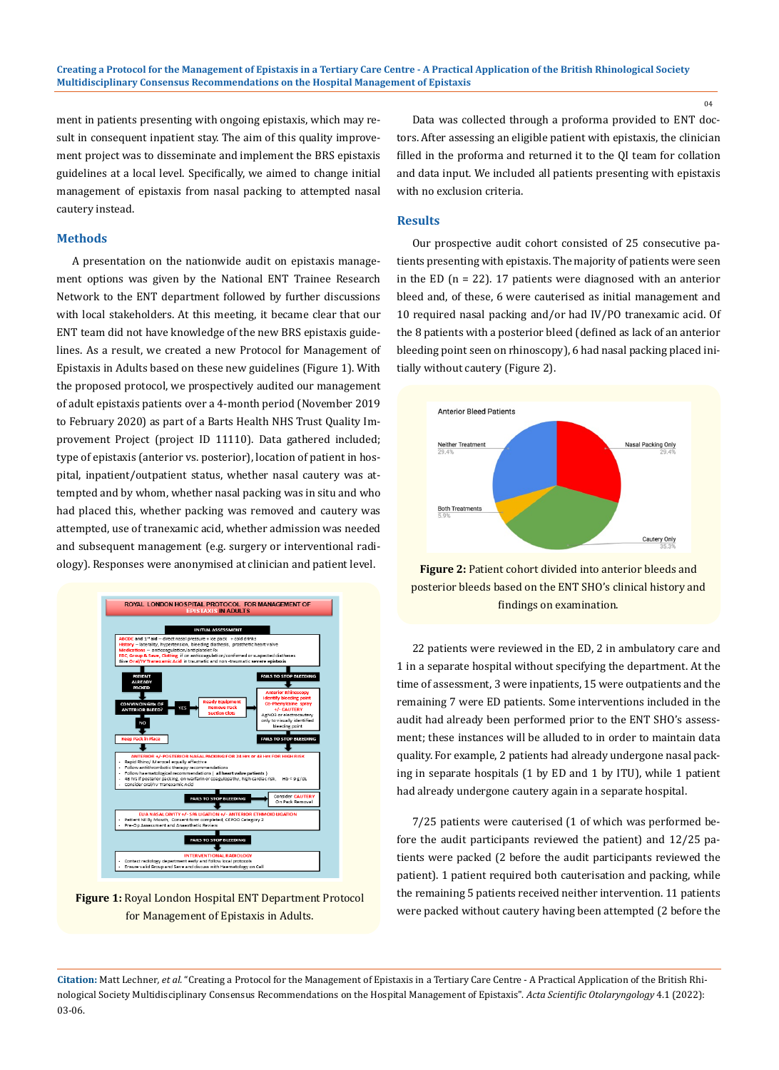ment in patients presenting with ongoing epistaxis, which may result in consequent inpatient stay. The aim of this quality improvement project was to disseminate and implement the BRS epistaxis guidelines at a local level. Specifically, we aimed to change initial management of epistaxis from nasal packing to attempted nasal cautery instead.

## **Methods**

A presentation on the nationwide audit on epistaxis management options was given by the National ENT Trainee Research Network to the ENT department followed by further discussions with local stakeholders. At this meeting, it became clear that our ENT team did not have knowledge of the new BRS epistaxis guidelines. As a result, we created a new Protocol for Management of Epistaxis in Adults based on these new guidelines (Figure 1). With the proposed protocol, we prospectively audited our management of adult epistaxis patients over a 4-month period (November 2019 to February 2020) as part of a Barts Health NHS Trust Quality Improvement Project (project ID 11110). Data gathered included; type of epistaxis (anterior vs. posterior), location of patient in hospital, inpatient/outpatient status, whether nasal cautery was attempted and by whom, whether nasal packing was in situ and who had placed this, whether packing was removed and cautery was attempted, use of tranexamic acid, whether admission was needed and subsequent management (e.g. surgery or interventional radiology). Responses were anonymised at clinician and patient level.



**Figure 1:** Royal London Hospital ENT Department Protocol for Management of Epistaxis in Adults.

Data was collected through a proforma provided to ENT doctors. After assessing an eligible patient with epistaxis, the clinician filled in the proforma and returned it to the QI team for collation and data input. We included all patients presenting with epistaxis with no exclusion criteria.

## **Results**

Our prospective audit cohort consisted of 25 consecutive patients presenting with epistaxis. The majority of patients were seen in the ED ( $n = 22$ ). 17 patients were diagnosed with an anterior bleed and, of these, 6 were cauterised as initial management and 10 required nasal packing and/or had IV/PO tranexamic acid. Of the 8 patients with a posterior bleed (defined as lack of an anterior bleeding point seen on rhinoscopy), 6 had nasal packing placed initially without cautery (Figure 2).



**Figure 2:** Patient cohort divided into anterior bleeds and posterior bleeds based on the ENT SHO's clinical history and findings on examination.

22 patients were reviewed in the ED, 2 in ambulatory care and 1 in a separate hospital without specifying the department. At the time of assessment, 3 were inpatients, 15 were outpatients and the remaining 7 were ED patients. Some interventions included in the audit had already been performed prior to the ENT SHO's assessment; these instances will be alluded to in order to maintain data quality. For example, 2 patients had already undergone nasal packing in separate hospitals (1 by ED and 1 by ITU), while 1 patient had already undergone cautery again in a separate hospital.

7/25 patients were cauterised (1 of which was performed before the audit participants reviewed the patient) and 12/25 patients were packed (2 before the audit participants reviewed the patient). 1 patient required both cauterisation and packing, while the remaining 5 patients received neither intervention. 11 patients were packed without cautery having been attempted (2 before the

04

**Citation:** Matt Lechner*, et al.* "Creating a Protocol for the Management of Epistaxis in a Tertiary Care Centre - A Practical Application of the British Rhinological Society Multidisciplinary Consensus Recommendations on the Hospital Management of Epistaxis". *Acta Scientific Otolaryngology* 4.1 (2022): 03-06.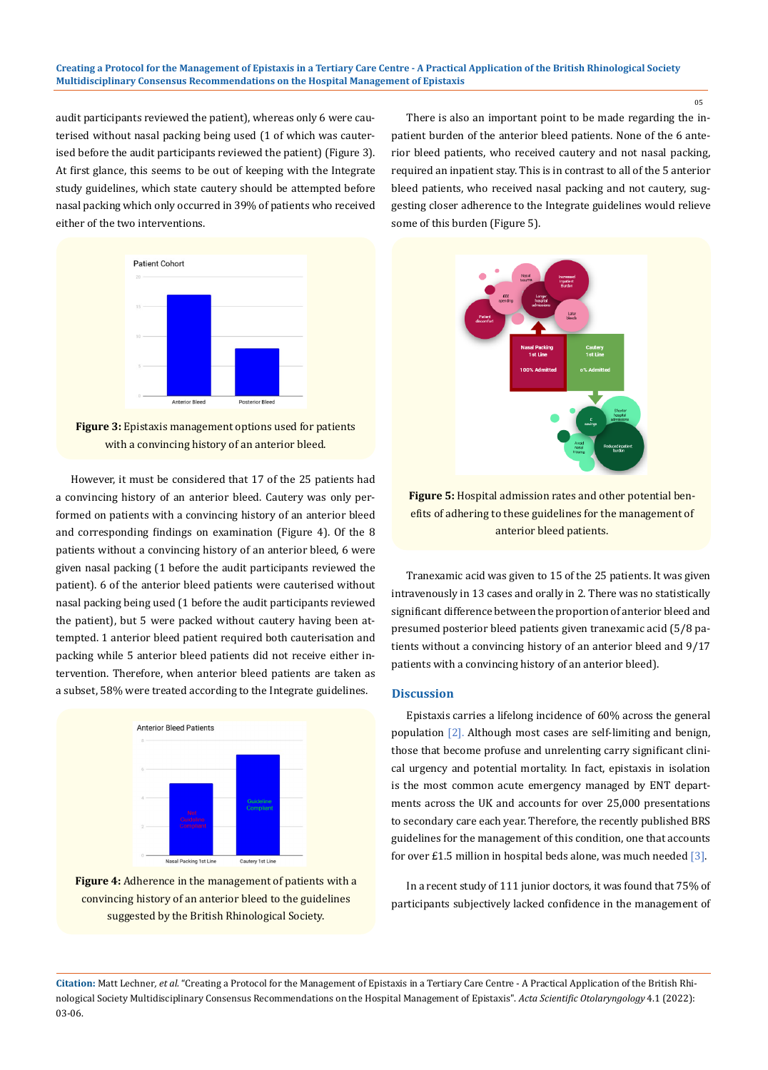audit participants reviewed the patient), whereas only 6 were cauterised without nasal packing being used (1 of which was cauterised before the audit participants reviewed the patient) (Figure 3). At first glance, this seems to be out of keeping with the Integrate study guidelines, which state cautery should be attempted before nasal packing which only occurred in 39% of patients who received either of the two interventions.

> **Patient Cohort Anterior Bleed** Posterior Bleed

**Figure 3:** Epistaxis management options used for patients with a convincing history of an anterior bleed.

However, it must be considered that 17 of the 25 patients had a convincing history of an anterior bleed. Cautery was only performed on patients with a convincing history of an anterior bleed and corresponding findings on examination (Figure 4). Of the 8 patients without a convincing history of an anterior bleed, 6 were given nasal packing (1 before the audit participants reviewed the patient). 6 of the anterior bleed patients were cauterised without nasal packing being used (1 before the audit participants reviewed the patient), but 5 were packed without cautery having been attempted. 1 anterior bleed patient required both cauterisation and packing while 5 anterior bleed patients did not receive either intervention. Therefore, when anterior bleed patients are taken as a subset, 58% were treated according to the Integrate guidelines.



**Figure 4:** Adherence in the management of patients with a convincing history of an anterior bleed to the guidelines suggested by the British Rhinological Society.

There is also an important point to be made regarding the inpatient burden of the anterior bleed patients. None of the 6 anterior bleed patients, who received cautery and not nasal packing, required an inpatient stay. This is in contrast to all of the 5 anterior bleed patients, who received nasal packing and not cautery, suggesting closer adherence to the Integrate guidelines would relieve some of this burden (Figure 5).



**Figure 5:** Hospital admission rates and other potential benefits of adhering to these guidelines for the management of anterior bleed patients.

Tranexamic acid was given to 15 of the 25 patients. It was given intravenously in 13 cases and orally in 2. There was no statistically significant difference between the proportion of anterior bleed and presumed posterior bleed patients given tranexamic acid (5/8 patients without a convincing history of an anterior bleed and 9/17 patients with a convincing history of an anterior bleed).

## **Discussion**

Epistaxis carries a lifelong incidence of 60% across the general population [2]. Although most cases are self-limiting and benign, those that become profuse and unrelenting carry significant clinical urgency and potential mortality. In fact, epistaxis in isolation is the most common acute emergency managed by ENT departments across the UK and accounts for over 25,000 presentations to secondary care each year. Therefore, the recently published BRS guidelines for the management of this condition, one that accounts for over £1.5 million in hospital beds alone, was much needed  $[3]$ .

In a recent study of 111 junior doctors, it was found that 75% of participants subjectively lacked confidence in the management of

**Citation:** Matt Lechner*, et al.* "Creating a Protocol for the Management of Epistaxis in a Tertiary Care Centre - A Practical Application of the British Rhinological Society Multidisciplinary Consensus Recommendations on the Hospital Management of Epistaxis". *Acta Scientific Otolaryngology* 4.1 (2022): 03-06.

05